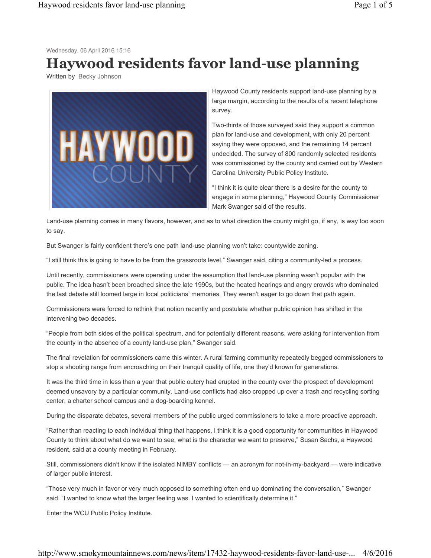Wednesday, 06 April 2016 15:16

## **Haywood residents favor land-use planning**

Written by Becky Johnson



Haywood County residents support land-use planning by a large margin, according to the results of a recent telephone survey.

Two-thirds of those surveyed said they support a common plan for land-use and development, with only 20 percent saying they were opposed, and the remaining 14 percent undecided. The survey of 800 randomly selected residents was commissioned by the county and carried out by Western Carolina University Public Policy Institute.

"I think it is quite clear there is a desire for the county to engage in some planning," Haywood County Commissioner Mark Swanger said of the results.

Land-use planning comes in many flavors, however, and as to what direction the county might go, if any, is way too soon to say.

But Swanger is fairly confident there's one path land-use planning won't take: countywide zoning.

"I still think this is going to have to be from the grassroots level," Swanger said, citing a community-led a process.

Until recently, commissioners were operating under the assumption that land-use planning wasn't popular with the public. The idea hasn't been broached since the late 1990s, but the heated hearings and angry crowds who dominated the last debate still loomed large in local politicians' memories. They weren't eager to go down that path again.

Commissioners were forced to rethink that notion recently and postulate whether public opinion has shifted in the intervening two decades.

"People from both sides of the political spectrum, and for potentially different reasons, were asking for intervention from the county in the absence of a county land-use plan," Swanger said.

The final revelation for commissioners came this winter. A rural farming community repeatedly begged commissioners to stop a shooting range from encroaching on their tranquil quality of life, one they'd known for generations.

It was the third time in less than a year that public outcry had erupted in the county over the prospect of development deemed unsavory by a particular community. Land-use conflicts had also cropped up over a trash and recycling sorting center, a charter school campus and a dog-boarding kennel.

During the disparate debates, several members of the public urged commissioners to take a more proactive approach.

"Rather than reacting to each individual thing that happens, I think it is a good opportunity for communities in Haywood County to think about what do we want to see, what is the character we want to preserve," Susan Sachs, a Haywood resident, said at a county meeting in February.

Still, commissioners didn't know if the isolated NIMBY conflicts — an acronym for not-in-my-backyard — were indicative of larger public interest.

"Those very much in favor or very much opposed to something often end up dominating the conversation," Swanger said. "I wanted to know what the larger feeling was. I wanted to scientifically determine it."

Enter the WCU Public Policy Institute.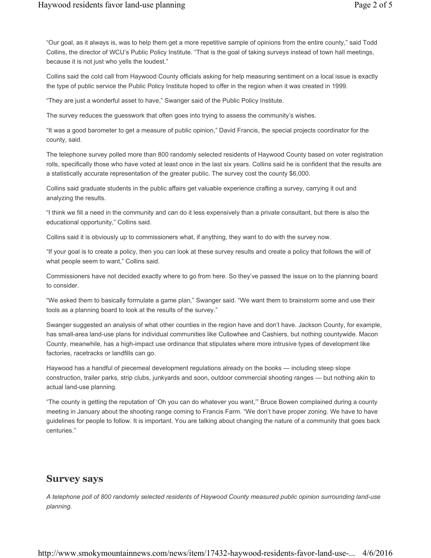"Our goal, as it always is, was to help them get a more repetitive sample of opinions from the entire county," said Todd Collins, the director of WCU's Public Policy Institute. "That is the goal of taking surveys instead of town hall meetings, because it is not just who yells the loudest."

Collins said the cold call from Haywood County officials asking for help measuring sentiment on a local issue is exactly the type of public service the Public Policy Institute hoped to offer in the region when it was created in 1999.

"They are just a wonderful asset to have," Swanger said of the Public Policy Institute.

The survey reduces the guesswork that often goes into trying to assess the community's wishes.

"It was a good barometer to get a measure of public opinion," David Francis, the special projects coordinator for the county, said.

The telephone survey polled more than 800 randomly selected residents of Haywood County based on voter registration rolls, specifically those who have voted at least once in the last six years. Collins said he is confident that the results are a statistically accurate representation of the greater public. The survey cost the county \$6,000.

Collins said graduate students in the public affairs get valuable experience crafting a survey, carrying it out and analyzing the results.

"I think we fill a need in the community and can do it less expensively than a private consultant, but there is also the educational opportunity," Collins said.

Collins said it is obviously up to commissioners what, if anything, they want to do with the survey now.

"If your goal is to create a policy, then you can look at these survey results and create a policy that follows the will of what people seem to want," Collins said.

Commissioners have not decided exactly where to go from here. So they've passed the issue on to the planning board to consider.

"We asked them to basically formulate a game plan," Swanger said. "We want them to brainstorm some and use their tools as a planning board to look at the results of the survey."

Swanger suggested an analysis of what other counties in the region have and don't have. Jackson County, for example, has small-area land-use plans for individual communities like Cullowhee and Cashiers, but nothing countywide. Macon County, meanwhile, has a high-impact use ordinance that stipulates where more intrusive types of development like factories, racetracks or landfills can go.

Haywood has a handful of piecemeal development regulations already on the books — including steep slope construction, trailer parks, strip clubs, junkyards and soon, outdoor commercial shooting ranges — but nothing akin to actual land-use planning.

"The county is getting the reputation of 'Oh you can do whatever you want,'" Bruce Bowen complained during a county meeting in January about the shooting range coming to Francis Farm. "We don't have proper zoning. We have to have guidelines for people to follow. It is important. You are talking about changing the nature of a community that goes back centuries."

## **Survey says**

*A telephone poll of 800 randomly selected residents of Haywood County measured public opinion surrounding land-use planning.*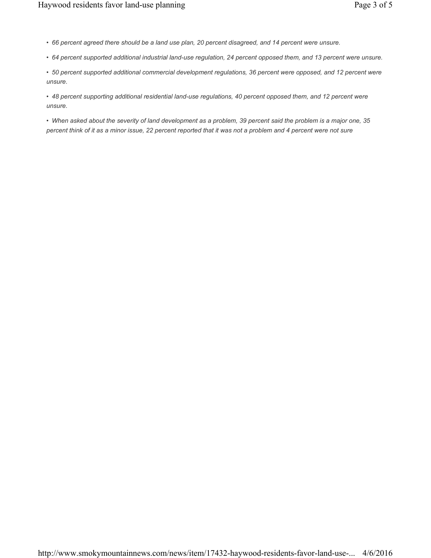- *66 percent agreed there should be a land use plan, 20 percent disagreed, and 14 percent were unsure.*
- *64 percent supported additional industrial land-use regulation, 24 percent opposed them, and 13 percent were unsure.*

*• 50 percent supported additional commercial development regulations, 36 percent were opposed, and 12 percent were unsure.*

*• 48 percent supporting additional residential land-use regulations, 40 percent opposed them, and 12 percent were unsure.*

*• When asked about the severity of land development as a problem, 39 percent said the problem is a major one, 35 percent think of it as a minor issue, 22 percent reported that it was not a problem and 4 percent were not sure*